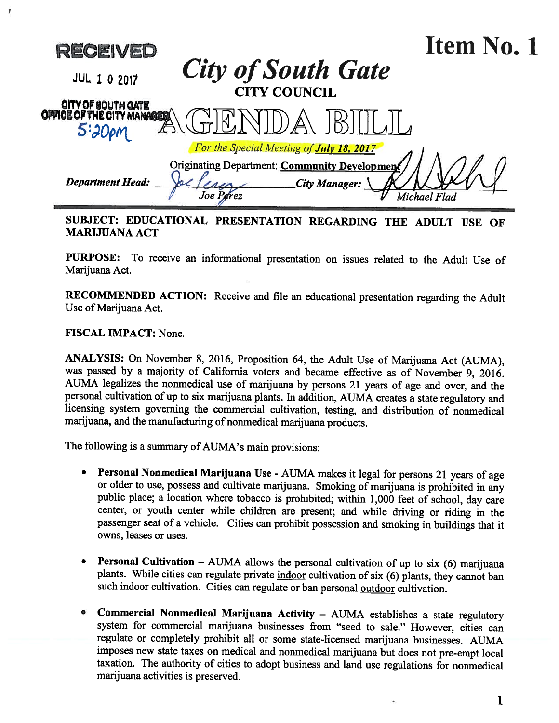

## SUBJECT: EDUCATIONAL PRESENTATION REGARDING THE ADULT USE OF MARIJUANA ACT

PURPOSE: To receive an informational presentation on issues related to the Adult Use of Marijuana Act.

RECOMMENDED ACTION: Receive and file an educational presentation regarding the Adult Use of Marijuana Act.

FISCAL IMPACT: None.

ANALYSIS: On November 8, 2016, Proposition 64, the Adult Use of Marijuana Act (AUMA), was passed by <sup>a</sup> majority of California voters and became effective as of November 9, 2016. AUMA legalizes the nonmedical use of marijuana by persons 21 years of age and over, and the personal cultivation of up to six marijuana <sup>p</sup>lants. In addition, AUMA creates <sup>a</sup> state regulatory and licensing system governing the commercial cultivation, testing, and distribution of nonmedical marijuana, and the manufacturing of nonmedical marijuana products.

The following is <sup>a</sup> summary of AUMA's main provisions:

- Personal Nonmedical Marijuana Use AUMA makes it legal for persons <sup>21</sup> years of age or older to use, possess and cultivate marijuana. Smoking of marijuana is prohibited in any public <sup>p</sup>lace; <sup>a</sup> location where tobacco is prohibited; within 1,000 feet of school, day care center, or youth center while children are present; and while driving or riding in the passenger seat of <sup>a</sup> vehicle. Cities can prohibit possession and smoking in buildings that it owns, leases or uses.
- **Personal Cultivation** AUMA allows the personal cultivation of up to six  $(6)$  marijuana plants. While cities can regulate private indoor cultivation of six (6) plants, they cannot ban such indoor cultivation. Cities can regulate or ban personal outdoor cultivation.
- • Commercial Nonmedical Marijuana Activity — AUMA establishes <sup>a</sup> state regulatory system for commercial marijuana businesses from "seed to sale." However, cities can regulate or completely prohibit all or some state-licensed marijuana businesses. AUMA imposes new state taxes on medical and nonmedical marijuana but does not pre-empt local taxation. The authority of cities to adopt business and land use regulations for nonmedical marijuana activities is preserved.

1